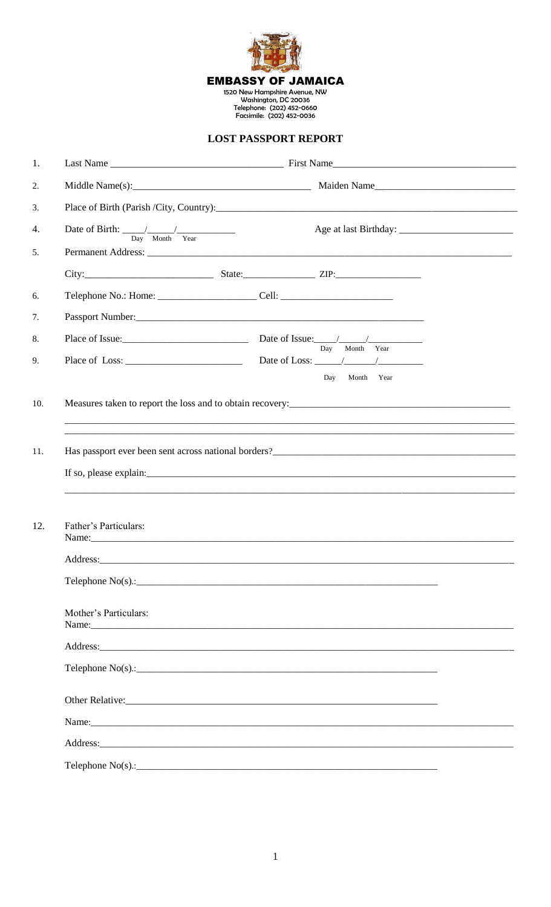

## **LOST PASSPORT REPORT**

| 1.  |                                                                                  |                                                                                                                                                                                                                                      |
|-----|----------------------------------------------------------------------------------|--------------------------------------------------------------------------------------------------------------------------------------------------------------------------------------------------------------------------------------|
| 2.  |                                                                                  |                                                                                                                                                                                                                                      |
| 3.  |                                                                                  |                                                                                                                                                                                                                                      |
| 4.  | $\overline{Day}$ Month Year                                                      |                                                                                                                                                                                                                                      |
| 5.  |                                                                                  |                                                                                                                                                                                                                                      |
|     |                                                                                  |                                                                                                                                                                                                                                      |
| 6.  | Telephone No.: Home: _________________________Cell: ____________________________ |                                                                                                                                                                                                                                      |
| 7.  |                                                                                  |                                                                                                                                                                                                                                      |
| 8.  |                                                                                  | $\overline{Day}$ Month Year                                                                                                                                                                                                          |
| 9.  |                                                                                  |                                                                                                                                                                                                                                      |
|     |                                                                                  | Day<br>Month Year                                                                                                                                                                                                                    |
| 10. |                                                                                  |                                                                                                                                                                                                                                      |
|     |                                                                                  |                                                                                                                                                                                                                                      |
| 11. |                                                                                  | Has passport ever been sent across national borders?<br><u>Letter according</u> to the contract of the sense of the sense of the sense of the sense of the sense of the sense of the sense of the sense of the sense of the sense of |
| 12. | Father's Particulars:                                                            | Name: Name:                                                                                                                                                                                                                          |
|     | Address:                                                                         |                                                                                                                                                                                                                                      |
|     | Telephone $No(s)$ .:                                                             |                                                                                                                                                                                                                                      |
|     | Mother's Particulars:                                                            | Name: Name:                                                                                                                                                                                                                          |
|     |                                                                                  |                                                                                                                                                                                                                                      |
|     |                                                                                  | Telephone $No(s)$ .:                                                                                                                                                                                                                 |
|     |                                                                                  | Other Relative: New York: New York: New York: New York: New York: New York: New York: New York: New York: New York: New York: New York: New York: New York: New York: New York: New York: New York: New York: New York: New Yo       |
|     |                                                                                  | Name: Name:                                                                                                                                                                                                                          |
|     |                                                                                  | Address: Andreas Address: Address: Address: Address: Address: Address: Address: Address: Address: Address: Address: Address: Address: Address: Address: Address: Address: Address: Address: Address: Address: Address: Address       |
|     |                                                                                  |                                                                                                                                                                                                                                      |